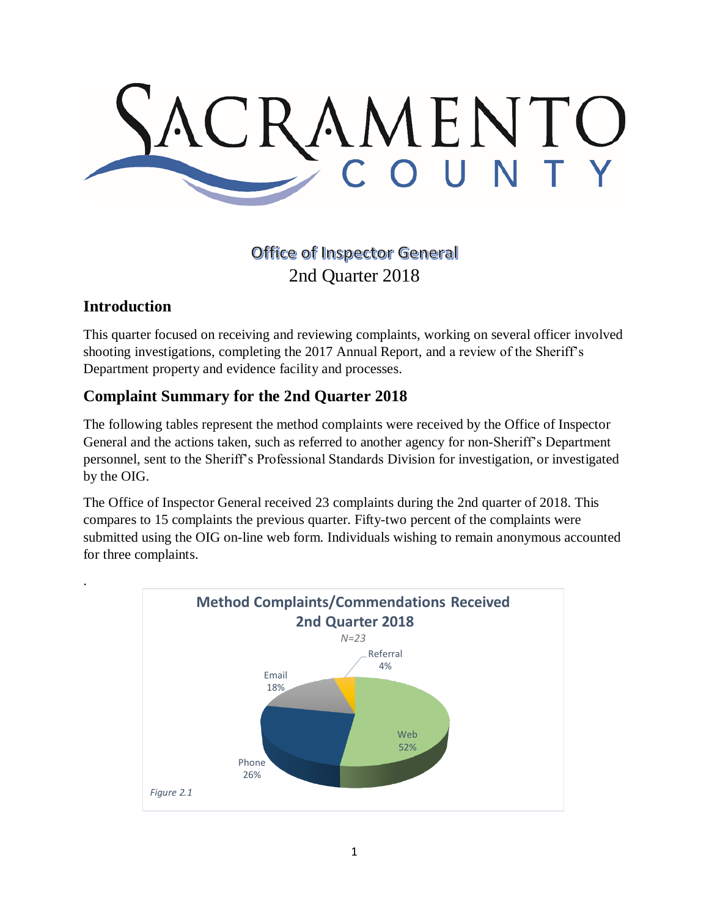

# **Office of Inspector General** 2nd Quarter 2018

### **Introduction**

.

This quarter focused on receiving and reviewing complaints, working on several officer involved shooting investigations, completing the 2017 Annual Report, and a review of the Sheriff's Department property and evidence facility and processes.

## **Complaint Summary for the 2nd Quarter 2018**

The following tables represent the method complaints were received by the Office of Inspector General and the actions taken, such as referred to another agency for non-Sheriff's Department personnel, sent to the Sheriff's Professional Standards Division for investigation, or investigated by the OIG.

The Office of Inspector General received 23 complaints during the 2nd quarter of 2018. This compares to 15 complaints the previous quarter. Fifty-two percent of the complaints were submitted using the OIG on-line web form. Individuals wishing to remain anonymous accounted for three complaints.

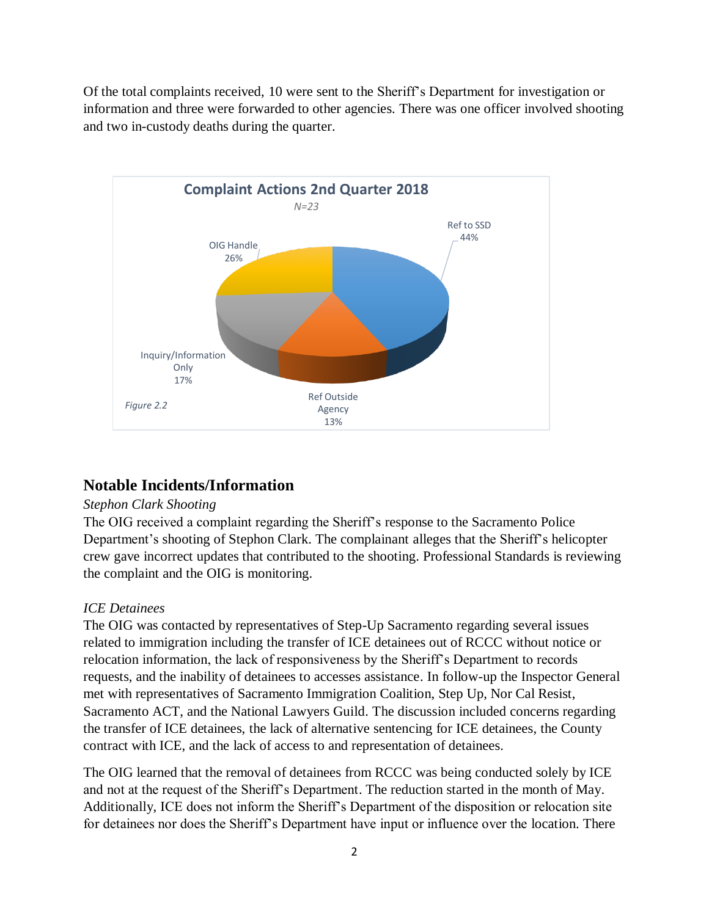Of the total complaints received, 10 were sent to the Sheriff's Department for investigation or information and three were forwarded to other agencies. There was one officer involved shooting and two in-custody deaths during the quarter.



### **Notable Incidents/Information**

### *Stephon Clark Shooting*

The OIG received a complaint regarding the Sheriff's response to the Sacramento Police Department's shooting of Stephon Clark. The complainant alleges that the Sheriff's helicopter crew gave incorrect updates that contributed to the shooting. Professional Standards is reviewing the complaint and the OIG is monitoring.

### *ICE Detainees*

The OIG was contacted by representatives of Step-Up Sacramento regarding several issues related to immigration including the transfer of ICE detainees out of RCCC without notice or relocation information, the lack of responsiveness by the Sheriff's Department to records requests, and the inability of detainees to accesses assistance. In follow-up the Inspector General met with representatives of Sacramento Immigration Coalition, Step Up, Nor Cal Resist, Sacramento ACT, and the National Lawyers Guild. The discussion included concerns regarding the transfer of ICE detainees, the lack of alternative sentencing for ICE detainees, the County contract with ICE, and the lack of access to and representation of detainees.

The OIG learned that the removal of detainees from RCCC was being conducted solely by ICE and not at the request of the Sheriff's Department. The reduction started in the month of May. Additionally, ICE does not inform the Sheriff's Department of the disposition or relocation site for detainees nor does the Sheriff's Department have input or influence over the location. There